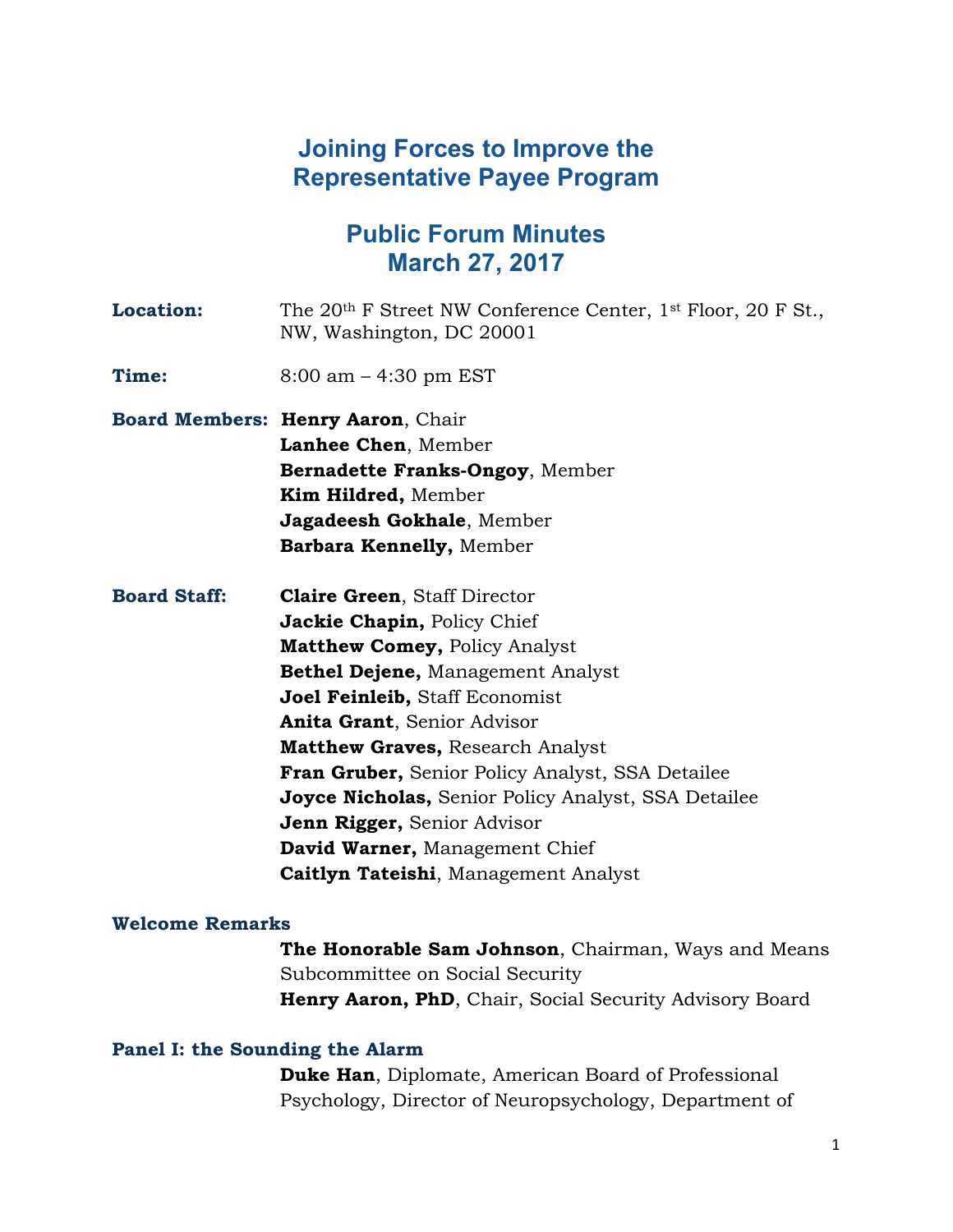# **Joining Forces to Improve the Representative Payee Program**

# **Public Forum Minutes March 27, 2017**

| <b>Location:</b>    | The 20 <sup>th</sup> F Street NW Conference Center, 1 <sup>st</sup> Floor, 20 F St.,<br>NW, Washington, DC 20001                                                                                                                                                                                                                                                                                                                                                                                                           |
|---------------------|----------------------------------------------------------------------------------------------------------------------------------------------------------------------------------------------------------------------------------------------------------------------------------------------------------------------------------------------------------------------------------------------------------------------------------------------------------------------------------------------------------------------------|
| Time:               | $8:00$ am $-4:30$ pm EST                                                                                                                                                                                                                                                                                                                                                                                                                                                                                                   |
|                     | Board Members: Henry Aaron, Chair<br>Lanhee Chen, Member<br>Bernadette Franks-Ongoy, Member<br>Kim Hildred, Member<br>Jagadeesh Gokhale, Member<br>Barbara Kennelly, Member                                                                                                                                                                                                                                                                                                                                                |
| <b>Board Staff:</b> | <b>Claire Green, Staff Director</b><br>Jackie Chapin, Policy Chief<br><b>Matthew Comey, Policy Analyst</b><br><b>Bethel Dejene, Management Analyst</b><br>Joel Feinleib, Staff Economist<br><b>Anita Grant, Senior Advisor</b><br><b>Matthew Graves, Research Analyst</b><br><b>Fran Gruber, Senior Policy Analyst, SSA Detailee</b><br><b>Joyce Nicholas, Senior Policy Analyst, SSA Detailee</b><br>Jenn Rigger, Senior Advisor<br><b>David Warner, Management Chief</b><br><b>Caitlyn Tateishi</b> , Management Analyst |

## **Welcome Remarks**

**The Honorable Sam Johnson**, Chairman, Ways and Means Subcommittee on Social Security Henry Aaron, PhD, Chair, Social Security Advisory Board

## **Panel I: the Sounding the Alarm**

**Duke Han**, Diplomate, American Board of Professional Psychology, Director of Neuropsychology, Department of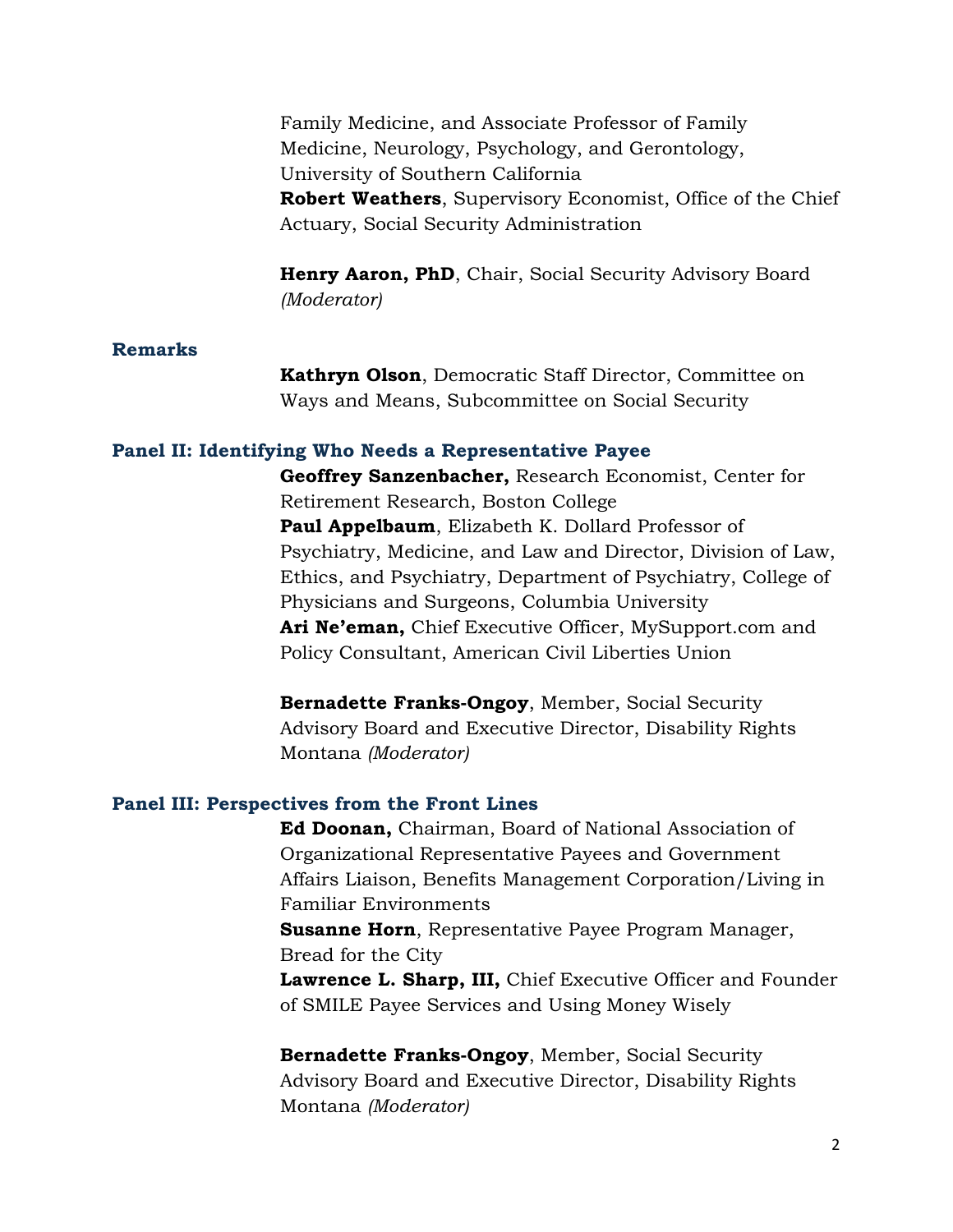Family Medicine, and Associate Professor of Family Medicine, Neurology, Psychology, and Gerontology, University of Southern California **Robert Weathers**, Supervisory Economist, Office of the Chief Actuary, Social Security Administration

**Henry Aaron, PhD**, Chair, Social Security Advisory Board *(Moderator)*

## **Remarks**

**Kathryn Olson**, Democratic Staff Director, Committee on Ways and Means, Subcommittee on Social Security

#### **Panel II: Identifying Who Needs a Representative Payee**

**Geoffrey Sanzenbacher,** Research Economist, Center for Retirement Research, Boston College **Paul Appelbaum**, Elizabeth K. Dollard Professor of Psychiatry, Medicine, and Law and Director, Division of Law, Ethics, and Psychiatry, Department of Psychiatry, College of Physicians and Surgeons, Columbia University **Ari Ne'eman,** Chief Executive Officer, MySupport.com and Policy Consultant, American Civil Liberties Union

**Bernadette Franks-Ongoy**, Member, Social Security Advisory Board and Executive Director, Disability Rights Montana *(Moderator)*

### **Panel III: Perspectives from the Front Lines**

**Ed Doonan,** Chairman, Board of National Association of Organizational Representative Payees and Government Affairs Liaison, Benefits Management Corporation/Living in Familiar Environments **Susanne Horn**, Representative Payee Program Manager, Bread for the City **Lawrence L. Sharp, III,** Chief Executive Officer and Founder of SMILE Payee Services and Using Money Wisely

**Bernadette Franks-Ongoy**, Member, Social Security Advisory Board and Executive Director, Disability Rights Montana *(Moderator)*